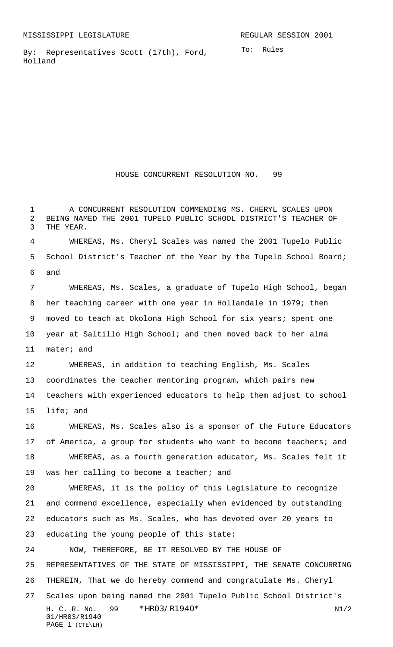By: Representatives Scott (17th), Ford, Holland

HOUSE CONCURRENT RESOLUTION NO. 99

 A CONCURRENT RESOLUTION COMMENDING MS. CHERYL SCALES UPON BEING NAMED THE 2001 TUPELO PUBLIC SCHOOL DISTRICT'S TEACHER OF THE YEAR.

 WHEREAS, Ms. Cheryl Scales was named the 2001 Tupelo Public School District's Teacher of the Year by the Tupelo School Board; and

 WHEREAS, Ms. Scales, a graduate of Tupelo High School, began her teaching career with one year in Hollandale in 1979; then moved to teach at Okolona High School for six years; spent one year at Saltillo High School; and then moved back to her alma mater; and

 WHEREAS, in addition to teaching English, Ms. Scales coordinates the teacher mentoring program, which pairs new teachers with experienced educators to help them adjust to school life; and

 WHEREAS, Ms. Scales also is a sponsor of the Future Educators 17 of America, a group for students who want to become teachers; and WHEREAS, as a fourth generation educator, Ms. Scales felt it was her calling to become a teacher; and

 WHEREAS, it is the policy of this Legislature to recognize and commend excellence, especially when evidenced by outstanding educators such as Ms. Scales, who has devoted over 20 years to educating the young people of this state:

H. C. R. No. 99 \* HRO3/R1940\* N1/2 01/HR03/R1940 PAGE 1 (CTE\LH) NOW, THEREFORE, BE IT RESOLVED BY THE HOUSE OF REPRESENTATIVES OF THE STATE OF MISSISSIPPI, THE SENATE CONCURRING THEREIN, That we do hereby commend and congratulate Ms. Cheryl Scales upon being named the 2001 Tupelo Public School District's